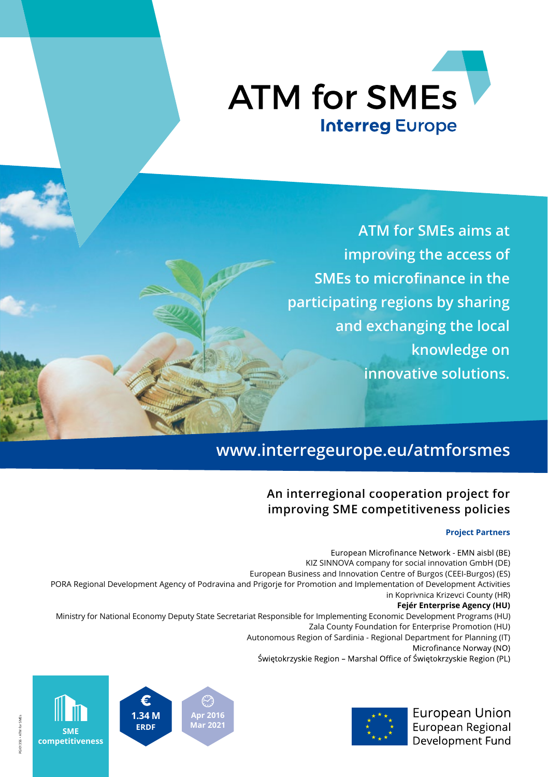

**ATM for SMEs aims at improving the access of SMEs to microfinance in the participating regions by sharing and exchanging the local knowledge on innovative solutions.**

# **www.interregeurope.eu/atmforsmes**

#### **An interregional cooperation project for improving SME competitiveness policies**

#### **Project Partners**

European Microfinance Network - EMN aisbl (BE) KIZ SINNOVA company for social innovation GmbH (DE) European Business and Innovation Centre of Burgos (CEEI-Burgos) (ES) PORA Regional Development Agency of Podravina and Prigorje for Promotion and Implementation of Development Activities in Koprivnica Krizevci County (HR) **Fejér Enterprise Agency (HU)** Ministry for National Economy Deputy State Secretariat Responsible for Implementing Economic Development Programs (HU) Zala County Foundation for Enterprise Promotion (HU) Autonomous Region of Sardinia - Regional Department for Planning (IT) Microfinance Norway (NO) Świętokrzyskie Region – Marshal Office of Świętokrzyskie Region (PL)





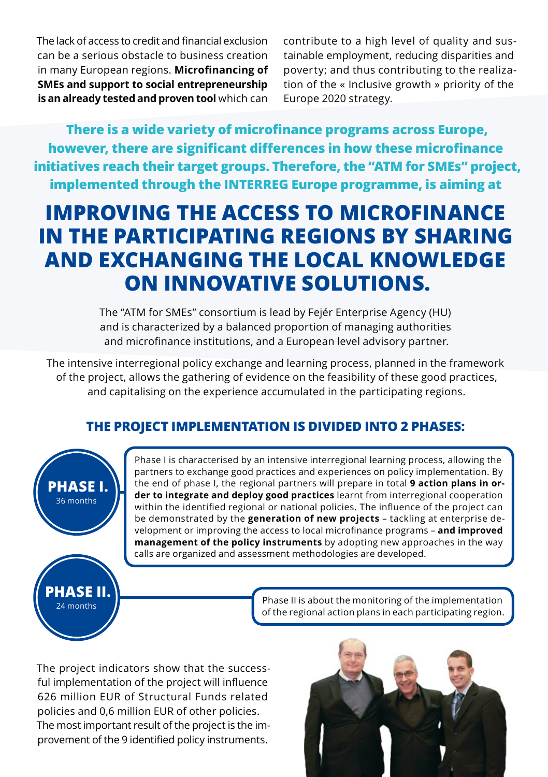The lack of access to credit and financial exclusion can be a serious obstacle to business creation in many European regions. Microfinancing of **SMEs and support to social entrepreneurship is an already tested and proven tool** which can

contribute to a high level of quality and sustainable employment, reducing disparities and poverty; and thus contributing to the realization of the « Inclusive growth » priority of the Europe 2020 strategy.

**There is a wide variety of microfinance programs across Europe, however, there are significant differences in how these microfinance initiatives reach their target groups. Therefore, the "ATM for SMEs" project, implemented through the INTERREG Europe programme, is aiming at** 

# **IMPROVING THE ACCESS TO MICROFINANCE IN THE PARTICIPATING REGIONS BY SHARING AND EXCHANGING THE LOCAL KNOWLEDGE ON INNOVATIVE SOLUTIONS.**

The "ATM for SMEs" consortium is lead by Fejér Enterprise Agency (HU) and is characterized by a balanced proportion of managing authorities and microfinance institutions, and a European level advisory partner.

The intensive interregional policy exchange and learning process, planned in the framework of the project, allows the gathering of evidence on the feasibility of these good practices, and capitalising on the experience accumulated in the participating regions.

#### **THE PROJECT IMPLEMENTATION IS DIVIDED INTO 2 PHASES:**



Phase I is characterised by an intensive interregional learning process, allowing the partners to exchange good practices and experiences on policy implementation. By the end of phase I, the regional partners will prepare in total **9 action plans in order to integrate and deploy good practices** learnt from interregional cooperation within the identified regional or national policies. The influence of the project can be demonstrated by the **generation of new projects** – tackling at enterprise development or improving the access to local microfi nance programs – **and improved management of the policy instruments** by adopting new approaches in the way calls are organized and assessment methodologies are developed.



Phase II is about the monitoring of the implementation of the regional action plans in each participating region.

The project indicators show that the successful implementation of the project will influence 626 million EUR of Structural Funds related policies and 0,6 million EUR of other policies. The most important result of the project is the improvement of the 9 identified policy instruments.

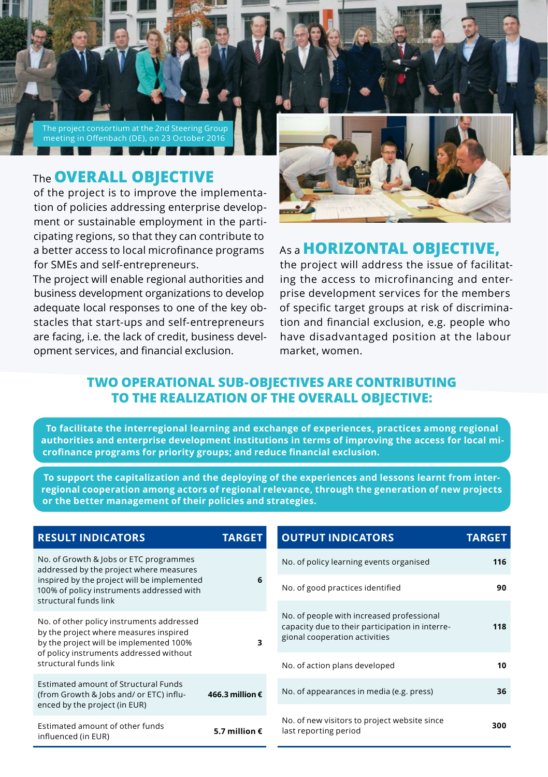

## The **OVERALL OBJECTIVE**

of the project is to improve the implementation of policies addressing enterprise development or sustainable employment in the participating regions, so that they can contribute to a better access to local microfinance programs for SMEs and self-entrepreneurs.

The project will enable regional authorities and business development organizations to develop adequate local responses to one of the key obstacles that start-ups and self-entrepreneurs are facing, i.e. the lack of credit, business development services, and financial exclusion.



### As a **HORIZONTAL OBJECTIVE,**

the project will address the issue of facilitating the access to microfinancing and enterprise development services for the members of specific target groups at risk of discrimination and financial exclusion, e.g. people who have disadvantaged position at the labour market, women.

#### **TWO OPERATIONAL SUB-OBJECTIVES ARE CONTRIBUTING TO THE REALIZATION OF THE OVERALL OBJECTIVE:**

 **To facilitate the interregional learning and exchange of experiences, practices among regional authorities and enterprise development institutions in terms of improving the access for local microfinance programs for priority groups; and reduce financial exclusion.**

**To support the capitalization and the deploying of the experiences and lessons learnt from interregional cooperation among actors of regional relevance, through the generation of new projects or the better management of their policies and strategies.**

| <b>RESULT INDICATORS</b>                                                                                                                                                                               | <b>TARGET</b>            | <b>OUTPUT INDICATORS</b>                                                                                                      | <b>TARGET</b> |
|--------------------------------------------------------------------------------------------------------------------------------------------------------------------------------------------------------|--------------------------|-------------------------------------------------------------------------------------------------------------------------------|---------------|
| No. of Growth & Jobs or ETC programmes<br>addressed by the project where measures<br>inspired by the project will be implemented<br>100% of policy instruments addressed with<br>structural funds link | 6                        | No. of policy learning events organised                                                                                       | 116           |
|                                                                                                                                                                                                        |                          | No. of good practices identified                                                                                              | 90            |
| No. of other policy instruments addressed<br>by the project where measures inspired<br>by the project will be implemented 100%<br>of policy instruments addressed without<br>structural funds link     | 3                        | No. of people with increased professional<br>capacity due to their participation in interre-<br>gional cooperation activities | 118           |
|                                                                                                                                                                                                        |                          | No. of action plans developed                                                                                                 | 10            |
| Estimated amount of Structural Funds<br>(from Growth & Jobs and/ or ETC) influ-<br>enced by the project (in EUR)                                                                                       | 466.3 million $\epsilon$ | No. of appearances in media (e.g. press)                                                                                      | 36            |
| Estimated amount of other funds<br>influenced (in EUR)                                                                                                                                                 | 5.7 million $\epsilon$   | No. of new visitors to project website since<br>last reporting period                                                         | 300           |